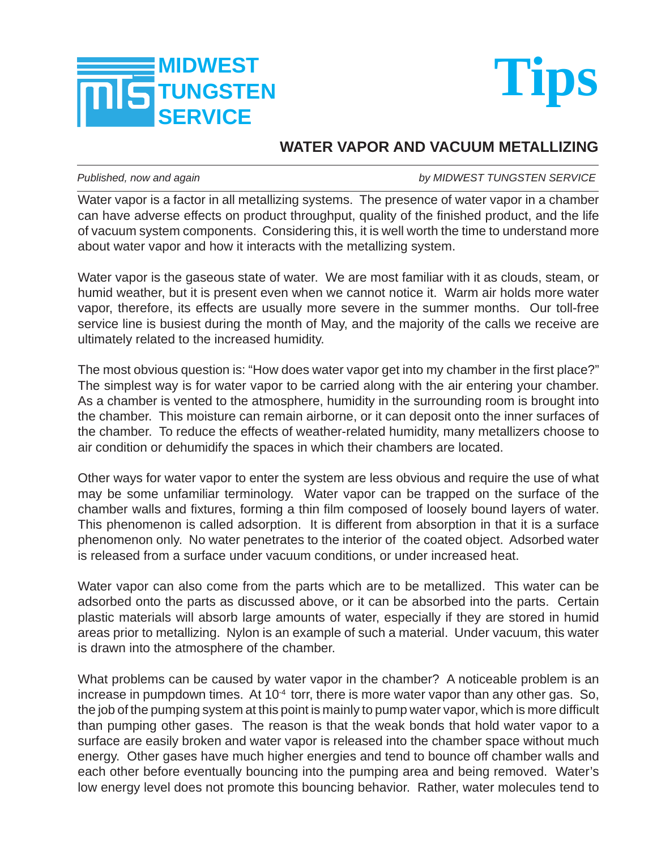



## **WATER VAPOR AND VACUUM METALLIZING**

*Published, now and again by MIDWEST TUNGSTEN SERVICE*

Water vapor is a factor in all metallizing systems. The presence of water vapor in a chamber can have adverse effects on product throughput, quality of the finished product, and the life of vacuum system components. Considering this, it is well worth the time to understand more about water vapor and how it interacts with the metallizing system.

Water vapor is the gaseous state of water. We are most familiar with it as clouds, steam, or humid weather, but it is present even when we cannot notice it. Warm air holds more water vapor, therefore, its effects are usually more severe in the summer months. Our toll-free service line is busiest during the month of May, and the majority of the calls we receive are ultimately related to the increased humidity.

The most obvious question is: "How does water vapor get into my chamber in the first place?" The simplest way is for water vapor to be carried along with the air entering your chamber. As a chamber is vented to the atmosphere, humidity in the surrounding room is brought into the chamber. This moisture can remain airborne, or it can deposit onto the inner surfaces of the chamber. To reduce the effects of weather-related humidity, many metallizers choose to air condition or dehumidify the spaces in which their chambers are located.

Other ways for water vapor to enter the system are less obvious and require the use of what may be some unfamiliar terminology. Water vapor can be trapped on the surface of the chamber walls and fixtures, forming a thin film composed of loosely bound layers of water. This phenomenon is called adsorption. It is different from absorption in that it is a surface phenomenon only. No water penetrates to the interior of the coated object. Adsorbed water is released from a surface under vacuum conditions, or under increased heat.

Water vapor can also come from the parts which are to be metallized. This water can be adsorbed onto the parts as discussed above, or it can be absorbed into the parts. Certain plastic materials will absorb large amounts of water, especially if they are stored in humid areas prior to metallizing. Nylon is an example of such a material. Under vacuum, this water is drawn into the atmosphere of the chamber.

What problems can be caused by water vapor in the chamber? A noticeable problem is an increase in pumpdown times. At  $10^{-4}$  torr, there is more water vapor than any other gas. So, the job of the pumping system at this point is mainly to pump water vapor, which is more difficult than pumping other gases. The reason is that the weak bonds that hold water vapor to a surface are easily broken and water vapor is released into the chamber space without much energy. Other gases have much higher energies and tend to bounce off chamber walls and each other before eventually bouncing into the pumping area and being removed. Water's low energy level does not promote this bouncing behavior. Rather, water molecules tend to